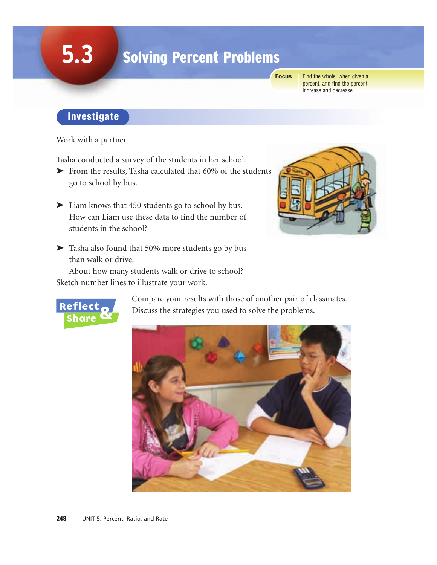# **5.3**

# Solving Percent Problems

**Focus**

Find the whole, when given a percent, and find the percent increase and decrease.

## Investigate

Work with a partner.

Tasha conducted a survey of the students in her school.

- ➤ From the results, Tasha calculated that 60% of the students go to school by bus.
- ➤ Liam knows that 450 students go to school by bus. How can Liam use these data to find the number of students in the school?
- ➤ Tasha also found that 50% more students go by bus than walk or drive.

About how many students walk or drive to school? Sketch number lines to illustrate your work.





Compare your results with those of another pair of classmates. Discuss the strategies you used to solve the problems.

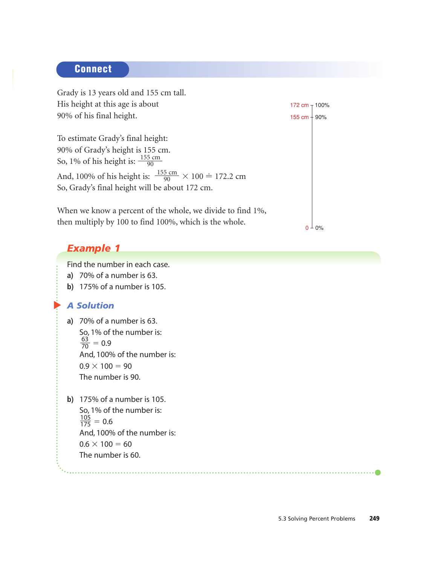#### **Connect**

Grady is 13 years old and 155 cm tall. His height at this age is about 90% of his final height. To estimate Grady's final height: 90% of Grady's height is 155 cm. So, 1% of his height is:  $\frac{155 \text{ cm}}{90}$ And, 100% of his height is:  $\frac{155 \text{ cm}}{90} \times 100 = 172.2 \text{ cm}$ So, Grady's final height will be about 172 cm. When we know a percent of the whole, we divide to find 1%, then multiply by 100 to find 100%, which is the whole. 90 90  $0 + 0\%$ 172 cm  $_T$  100% 155 cm  $+90%$ 

. . . . . . . . . . . . . .

#### *Example 1*

Find the number in each case.

**a)** 70% of a number is 63.

**b)** 175% of a number is 105.

#### *A Solution*

▲

**a)** 70% of a number is 63. So, 1% of the number is:  $\frac{63}{70} = 0.9$ And, 100% of the number is:  $0.9 \times 100 = 90$ The number is 90. 70

**b)** 175% of a number is 105. So, 1% of the number is:  $\frac{105}{175} = 0.6$ And, 100% of the number is:  $0.6 \times 100 = 60$ The number is 60. 175

5.3 Solving Percent Problems 249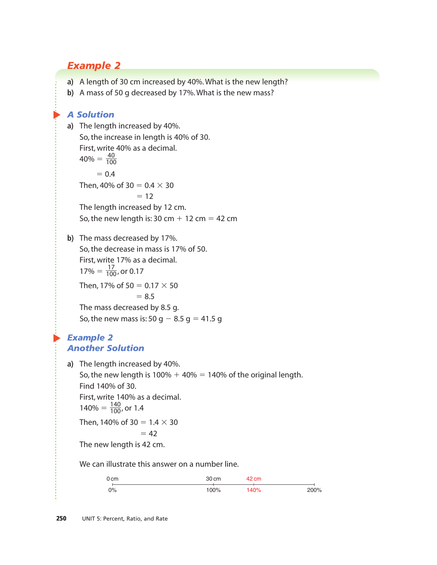## *Example 2*

- **a)** A length of 30 cm increased by 40%. What is the new length?
- **b)** A mass of 50 g decreased by 17%. What is the new mass?

#### *A Solution*

 $\blacktriangleright$ 

**a)** The length increased by 40%. So, the increase in length is 40% of 30. First, write 40% as a decimal.  $40\% = \frac{40}{100}$  $= 0.4$ Then, 40% of 30 = 0.4  $\times$  30  $= 12$ The length increased by 12 cm. So, the new length is:  $30 \text{ cm} + 12 \text{ cm} = 42 \text{ cm}$ **b)** The mass decreased by 17%. So, the decrease in mass is 17% of 50. First, write 17% as a decimal.  $17\% = \frac{17}{100}$ , or 0.17 Then, 17% of 50 =  $0.17 \times 50$  $= 8.5$ The mass decreased by 8.5 g. So, the new mass is: 50 g – 8.5 g = 41.5 g 100 100

#### ▲ *Example 2 Another Solution*

**a)** The length increased by 40%.

So, the new length is  $100\% + 40\% = 140\%$  of the original length. Find 140% of 30. First, write 140% as a decimal.  $140\% = \frac{140}{100}$ , or 1.4 Then, 140% of 30 =  $1.4 \times 30$ 100

$$
= 42
$$

The new length is 42 cm.

We can illustrate this answer on a number line.

| 0 <sub>cm</sub> | 30 cm | 42 cm |      |
|-----------------|-------|-------|------|
| $0\%$           | 100%  | 140%  | 200% |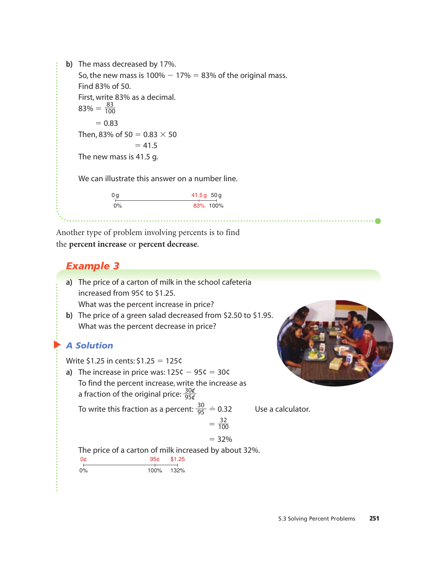**b)** The mass decreased by 17%. So, the new mass is  $100\% - 17\% = 83\%$  of the original mass. Find 83% of 50. First, write 83% as a decimal.  $83\% = \frac{83}{100}$  $= 0.83$ Then, 83% of 50 = 0.83  $\times$  50  $= 41.5$ The new mass is 41.5 g. We can illustrate this answer on a number line. 100

| 0 a   | $41.5g$ 50g |          |
|-------|-------------|----------|
| $0\%$ |             | 83% 100% |

. . . . . . . . . . . . . . . . . . .

Another type of problem involving percents is to find the **percent increase** or **percent decrease**.

#### *Example 3*

- **a)** The price of a carton of milk in the school cafeteria increased from 95¢ to \$1.25.
	- What was the percent increase in price?
- **b)** The price of a green salad decreased from \$2.50 to \$1.95. What was the percent decrease in price?

#### ▲ *A Solution*

Write  $$1.25$  in cents:  $$1.25 = 125$ ¢

**a)** The increase in price was:  $125\zeta - 95\zeta = 30\zeta$ To find the percent increase, write the increase as a fraction of the original price:  $\frac{30}{956}$ 95c/

To write this fraction as a percent:  $\frac{30}{95}$   $\doteq$ 95

Use a calculator.

$$
= 100
$$

$$
= 32\%
$$

 $=\frac{32}{100}$ 

The price of a carton of milk increased by about 32%.

0% 132% 100% 0¢ 95¢ \$1.25

5.3 Solving Percent Problems 251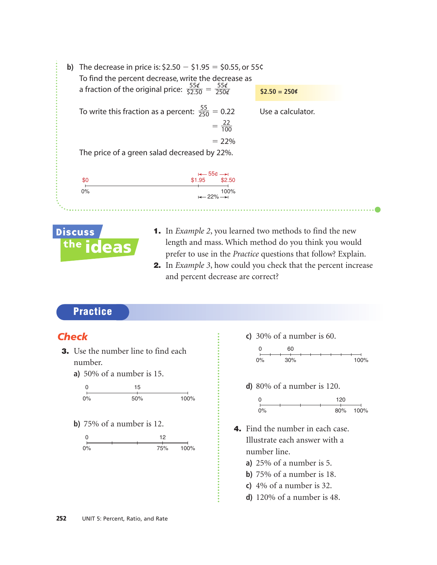



- 1. In *Example 2*, you learned two methods to find the new length and mass. Which method do you think you would prefer to use in the *Practice* questions that follow? Explain.
- 2. In *Example 3*, how could you check that the percent increase and percent decrease are correct?

#### **Practice**

#### *Check*

- **3.** Use the number line to find each number.
	- **a)** 50% of a number is 15.



**b)** 75% of a number is 12.



**c)** 30% of a number is 60.



**d)** 80% of a number is 120.



- 4. Find the number in each case. Illustrate each answer with a number line.
	- **a)** 25% of a number is 5.
	- **b)** 75% of a number is 18.
	- **c)** 4% of a number is 32.
	- **d)** 120% of a number is 48.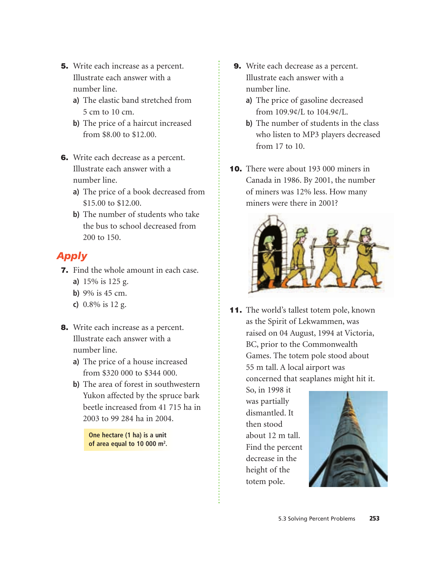- 5. Write each increase as a percent. Illustrate each answer with a number line.
	- **a)** The elastic band stretched from 5 cm to 10 cm.
	- **b)** The price of a haircut increased from \$8.00 to \$12.00.
- 6. Write each decrease as a percent. Illustrate each answer with a number line.
	- **a)** The price of a book decreased from \$15.00 to \$12.00.
	- **b)** The number of students who take the bus to school decreased from 200 to 150.

### *Apply*

- 7. Find the whole amount in each case.
	- **a)** 15% is 125 g.
	- **b)** 9% is 45 cm.
	- **c)** 0.8% is 12 g.
- 8. Write each increase as a percent. Illustrate each answer with a number line.
	- **a)** The price of a house increased from \$320 000 to \$344 000.
	- **b)** The area of forest in southwestern Yukon affected by the spruce bark beetle increased from 41 715 ha in 2003 to 99 284 ha in 2004.

**One hectare (1 ha) is a unit of area equal to 10 000 m<sup>2</sup> .**

- 9. Write each decrease as a percent. Illustrate each answer with a number line.
	- **a)** The price of gasoline decreased from 109.9¢/L to 104.9¢/L.
	- **b)** The number of students in the class who listen to MP3 players decreased from 17 to 10.
- 10. There were about 193 000 miners in Canada in 1986. By 2001, the number of miners was 12% less. How many miners were there in 2001?



11. The world's tallest totem pole, known as the Spirit of Lekwammen, was raised on 04 August, 1994 at Victoria, BC, prior to the Commonwealth Games. The totem pole stood about 55 m tall. A local airport was concerned that seaplanes might hit it.

> So, in 1998 it was partially dismantled. It then stood about 12 m tall. Find the percent decrease in the height of the totem pole.

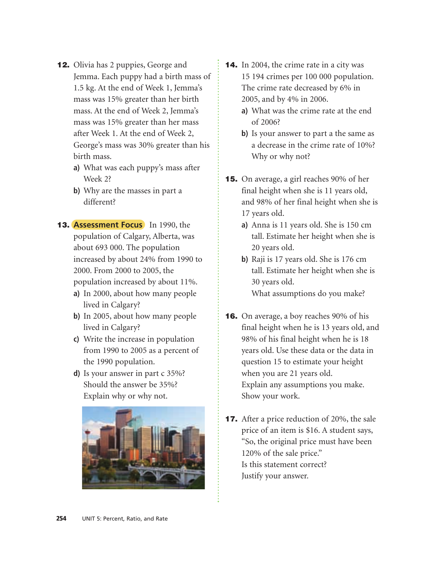- **12.** Olivia has 2 puppies, George and Jemma. Each puppy had a birth mass of 1.5 kg. At the end of Week 1, Jemma's mass was 15% greater than her birth mass. At the end of Week 2, Jemma's mass was 15% greater than her mass after Week 1. At the end of Week 2, George's mass was 30% greater than his birth mass.
	- **a)** What was each puppy's mass after Week 2?
	- **b)** Why are the masses in part a different?
- 13. **Assessment Focus** In 1990, the population of Calgary, Alberta, was about 693 000. The population increased by about 24% from 1990 to 2000. From 2000 to 2005, the population increased by about 11%.
	- **a)** In 2000, about how many people lived in Calgary?
	- **b)** In 2005, about how many people lived in Calgary?
	- **c)** Write the increase in population from 1990 to 2005 as a percent of the 1990 population.
	- **d)** Is your answer in part c 35%? Should the answer be 35%? Explain why or why not.



- **14.** In 2004, the crime rate in a city was 15 194 crimes per 100 000 population. The crime rate decreased by 6% in 2005, and by 4% in 2006.
	- **a)** What was the crime rate at the end of 2006?
	- **b)** Is your answer to part a the same as a decrease in the crime rate of 10%? Why or why not?
- **15.** On average, a girl reaches 90% of her final height when she is 11 years old, and 98% of her final height when she is 17 years old.
	- **a)** Anna is 11 years old. She is 150 cm tall. Estimate her height when she is 20 years old.
	- **b)** Raji is 17 years old. She is 176 cm tall. Estimate her height when she is 30 years old. What assumptions do you make?
- **16.** On average, a boy reaches 90% of his final height when he is 13 years old, and 98% of his final height when he is 18 years old. Use these data or the data in question 15 to estimate your height when you are 21 years old. Explain any assumptions you make. Show your work.
- **17.** After a price reduction of 20%, the sale price of an item is \$16. A student says, "So, the original price must have been 120% of the sale price." Is this statement correct? Justify your answer.